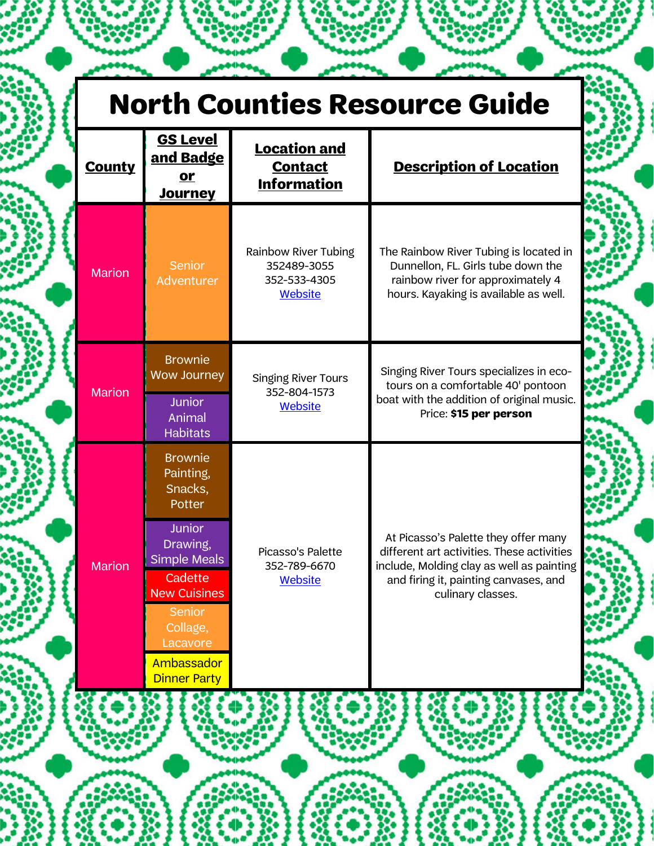| <b>County</b> | <b>GS Level</b><br>and Badge<br><u>or</u><br><b>Journey</b>                                                                               | <b>Location and</b><br><b>Contact</b><br><b>Information</b>                  | <b>Description of Location</b>                                                                                                                                                                |
|---------------|-------------------------------------------------------------------------------------------------------------------------------------------|------------------------------------------------------------------------------|-----------------------------------------------------------------------------------------------------------------------------------------------------------------------------------------------|
| <b>Marion</b> | <b>Senior</b><br>Adventurer                                                                                                               | <b>Rainbow River Tubing</b><br>352489-3055<br>352-533-4305<br><b>Website</b> | The Rainbow River Tubing is located in<br>Dunnellon, FL. Girls tube down the<br>rainbow river for approximately 4<br>hours. Kayaking is available as well.                                    |
| <b>Marion</b> | <b>Brownie</b><br><b>Wow Journey</b><br><b>Junior</b><br>Animal<br><b>Habitats</b>                                                        | <b>Singing River Tours</b><br>352-804-1573<br><b>Website</b>                 | Singing River Tours specializes in eco-<br>tours on a comfortable 40' pontoon<br>boat with the addition of original music.<br>Price: \$15 per person                                          |
|               | <b>Brownie</b><br>Painting,<br>Snacks,<br>Potter                                                                                          |                                                                              |                                                                                                                                                                                               |
| <b>Marion</b> | <b>Junior</b><br>Drawing,<br><b>Simple Meals</b><br>Cadette<br><b>New Cuisines</b><br><b>Senior</b><br>Collage,<br>Lacavore<br>Ambassador | Picasso's Palette<br>352-789-6670<br><b>Website</b>                          | At Picasso's Palette they offer many<br>different art activities. These activities<br>include, Molding clay as well as painting<br>and firing it, painting canvases, and<br>culinary classes. |
|               | <b>Dinner Party</b>                                                                                                                       |                                                                              |                                                                                                                                                                                               |

 $\bullet \bullet \bullet$ 

u de a

۰,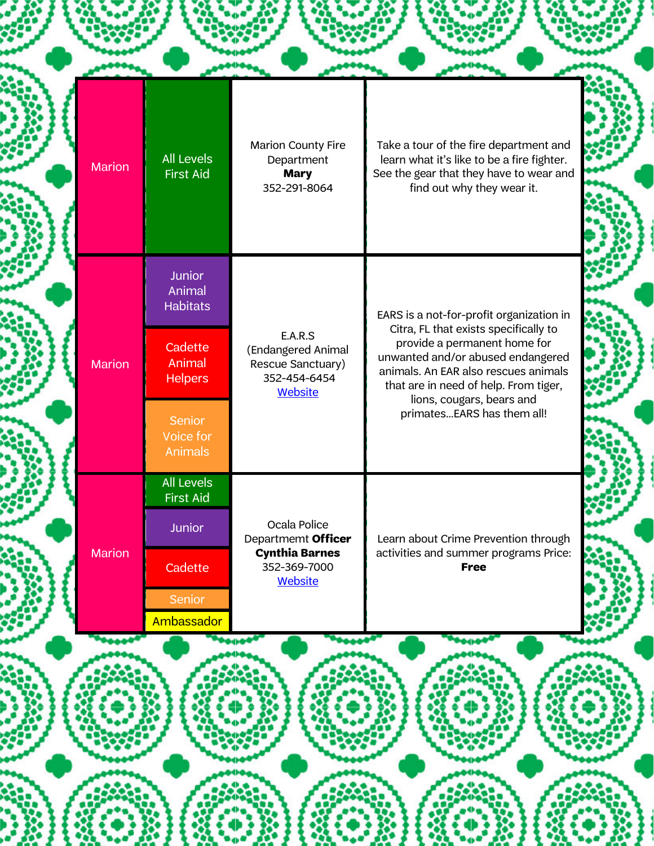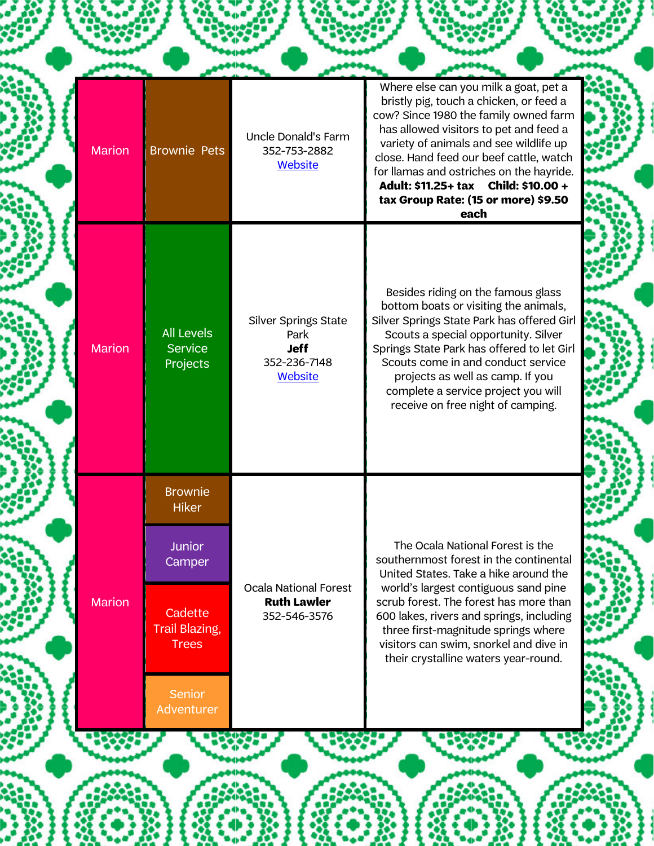| <b>Marion</b> | <b>Brownie Pets</b>                                                                                                                   | Uncle Donald's Farm<br>352-753-2882<br><b>Website</b>                         | Where else can you milk a goat, pet a<br>bristly pig, touch a chicken, or feed a<br>cow? Since 1980 the family owned farm<br>has allowed visitors to pet and feed a<br>variety of animals and see wildlife up<br>close. Hand feed our beef cattle, watch<br>for llamas and ostriches on the hayride.<br>Adult: \$11.25+ tax Child: \$10.00 +<br>tax Group Rate: (15 or more) \$9.50<br>each |  |
|---------------|---------------------------------------------------------------------------------------------------------------------------------------|-------------------------------------------------------------------------------|---------------------------------------------------------------------------------------------------------------------------------------------------------------------------------------------------------------------------------------------------------------------------------------------------------------------------------------------------------------------------------------------|--|
| <b>Marion</b> | <b>All Levels</b><br><b>Service</b><br>Projects                                                                                       | <b>Silver Springs State</b><br>Park<br><b>Jeff</b><br>352-236-7148<br>Website | Besides riding on the famous glass<br>bottom boats or visiting the animals,<br>Silver Springs State Park has offered Girl<br>Scouts a special opportunity. Silver<br>Springs State Park has offered to let Girl<br>Scouts come in and conduct service<br>projects as well as camp. If you<br>complete a service project you will<br>receive on free night of camping.                       |  |
| <b>Marion</b> | <b>Brownie</b><br><b>Hiker</b><br>Junior<br>Camper<br>Cadette<br><b>Trail Blazing,</b><br><b>Trees</b><br><b>Senior</b><br>Adventurer | <b>Ocala National Forest</b><br><b>Ruth Lawler</b><br>352-546-3576            | The Ocala National Forest is the<br>southernmost forest in the continental<br>United States. Take a hike around the<br>world's largest contiguous sand pine<br>scrub forest. The forest has more than<br>600 lakes, rivers and springs, including<br>three first-magnitude springs where<br>visitors can swim, snorkel and dive in<br>their crystalline waters year-round.                  |  |
|               |                                                                                                                                       |                                                                               |                                                                                                                                                                                                                                                                                                                                                                                             |  |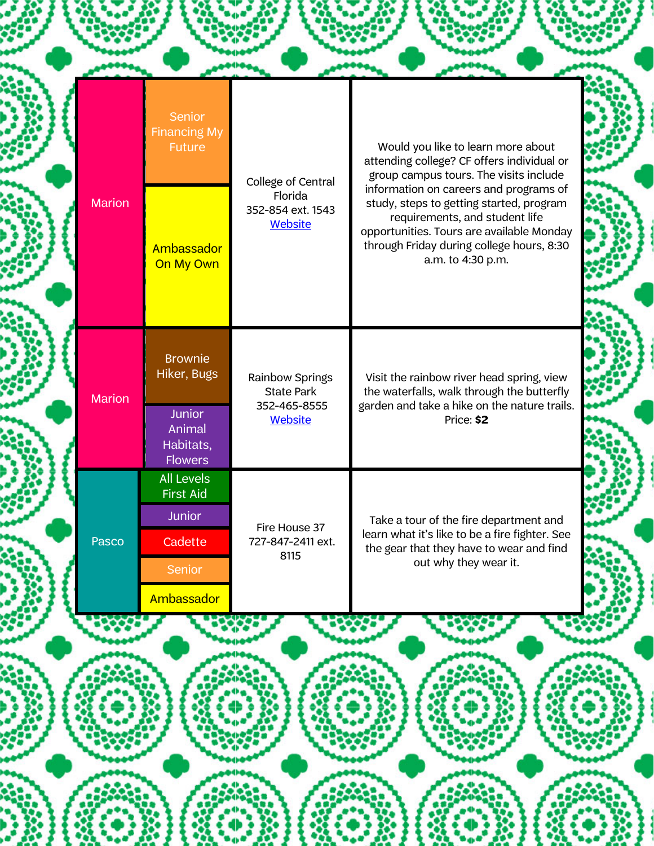| Florida<br><b>Marion</b><br>study, steps to getting started, program<br>352-854 ext. 1543<br>requirements, and student life<br><b>Website</b><br>opportunities. Tours are available Monday<br>through Friday during college hours, 8:30<br>Ambassador<br>a.m. to 4:30 p.m.<br>On My Own<br><b>Brownie</b><br>Hiker, Bugs<br>Rainbow Springs<br>Visit the rainbow river head spring, view<br>the waterfalls, walk through the butterfly<br><b>State Park</b><br><b>Marion</b><br>garden and take a hike on the nature trails.<br>352-465-8555<br><b>Junior</b><br><b>Website</b><br>Price: \$2<br>Animal<br>Habitats,<br><b>Flowers</b><br><b>All Levels</b><br><b>First Aid</b><br><b>Junior</b><br>Take a tour of the fire department and<br>Fire House 37<br>learn what it's like to be a fire fighter. See<br>Pasco<br>727-847-2411 ext.<br>Cadette<br>the gear that they have to wear and find<br>8115<br>out why they wear it.<br>Senior |  | Senior<br><b>Financing My</b><br><b>Future</b> | College of Central | Would you like to learn more about<br>attending college? CF offers individual or<br>group campus tours. The visits include |
|-----------------------------------------------------------------------------------------------------------------------------------------------------------------------------------------------------------------------------------------------------------------------------------------------------------------------------------------------------------------------------------------------------------------------------------------------------------------------------------------------------------------------------------------------------------------------------------------------------------------------------------------------------------------------------------------------------------------------------------------------------------------------------------------------------------------------------------------------------------------------------------------------------------------------------------------------|--|------------------------------------------------|--------------------|----------------------------------------------------------------------------------------------------------------------------|
|                                                                                                                                                                                                                                                                                                                                                                                                                                                                                                                                                                                                                                                                                                                                                                                                                                                                                                                                               |  |                                                |                    | information on careers and programs of                                                                                     |
|                                                                                                                                                                                                                                                                                                                                                                                                                                                                                                                                                                                                                                                                                                                                                                                                                                                                                                                                               |  |                                                |                    |                                                                                                                            |
|                                                                                                                                                                                                                                                                                                                                                                                                                                                                                                                                                                                                                                                                                                                                                                                                                                                                                                                                               |  | Ambassador                                     |                    |                                                                                                                            |
|                                                                                                                                                                                                                                                                                                                                                                                                                                                                                                                                                                                                                                                                                                                                                                                                                                                                                                                                               |  |                                                |                    |                                                                                                                            |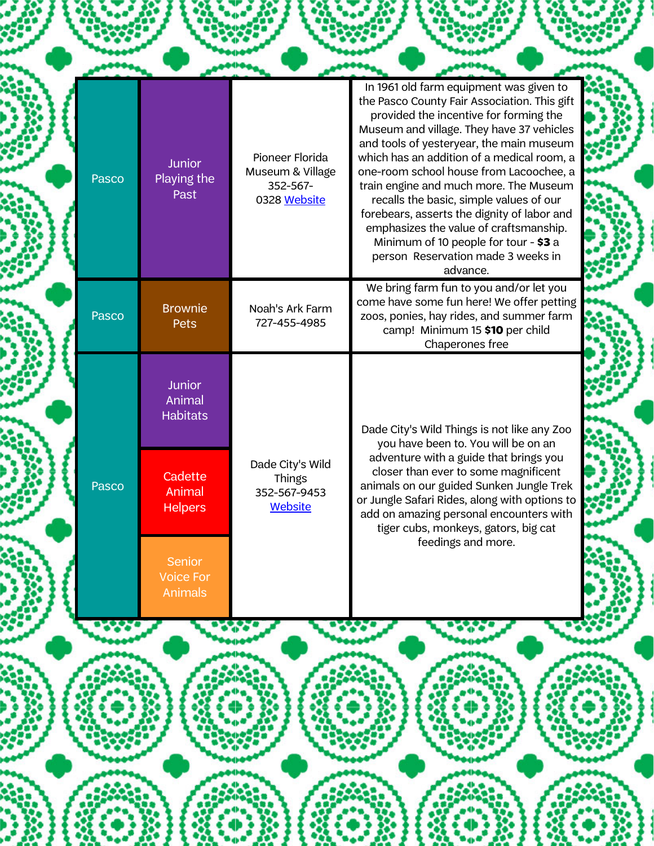| Pasco | <b>Junior</b><br>Playing the<br>Past                | Pioneer Florida<br>Museum & Village<br>352-567-<br>0328 Website | In 1961 old farm equipment was given to<br>the Pasco County Fair Association. This gift<br>provided the incentive for forming the<br>Museum and village. They have 37 vehicles<br>and tools of yesteryear, the main museum<br>which has an addition of a medical room, a<br>one-room school house from Lacoochee, a<br>train engine and much more. The Museum<br>recalls the basic, simple values of our<br>forebears, asserts the dignity of labor and<br>emphasizes the value of craftsmanship.<br>Minimum of 10 people for tour - \$3 a<br>person Reservation made 3 weeks in<br>advance. |
|-------|-----------------------------------------------------|-----------------------------------------------------------------|----------------------------------------------------------------------------------------------------------------------------------------------------------------------------------------------------------------------------------------------------------------------------------------------------------------------------------------------------------------------------------------------------------------------------------------------------------------------------------------------------------------------------------------------------------------------------------------------|
| Pasco | <b>Brownie</b><br>Pets                              | Noah's Ark Farm<br>727-455-4985                                 | We bring farm fun to you and/or let you<br>come have some fun here! We offer petting<br>zoos, ponies, hay rides, and summer farm<br>camp! Minimum 15 \$10 per child<br>Chaperones free                                                                                                                                                                                                                                                                                                                                                                                                       |
|       | <b>Junior</b><br>Animal<br><b>Habitats</b>          |                                                                 | Dade City's Wild Things is not like any Zoo<br>you have been to. You will be on an                                                                                                                                                                                                                                                                                                                                                                                                                                                                                                           |
| Pasco | Cadette<br>Animal<br><b>Helpers</b>                 | Dade City's Wild<br>Things<br>352-567-9453<br>Website           | adventure with a guide that brings you<br>closer than ever to some magnificent<br>animals on our guided Sunken Jungle Trek<br>or Jungle Safari Rides, along with options to<br>add on amazing personal encounters with<br>tiger cubs, monkeys, gators, big cat                                                                                                                                                                                                                                                                                                                               |
|       | <b>Senior</b><br><b>Voice For</b><br><b>Animals</b> |                                                                 | feedings and more.                                                                                                                                                                                                                                                                                                                                                                                                                                                                                                                                                                           |
|       |                                                     |                                                                 |                                                                                                                                                                                                                                                                                                                                                                                                                                                                                                                                                                                              |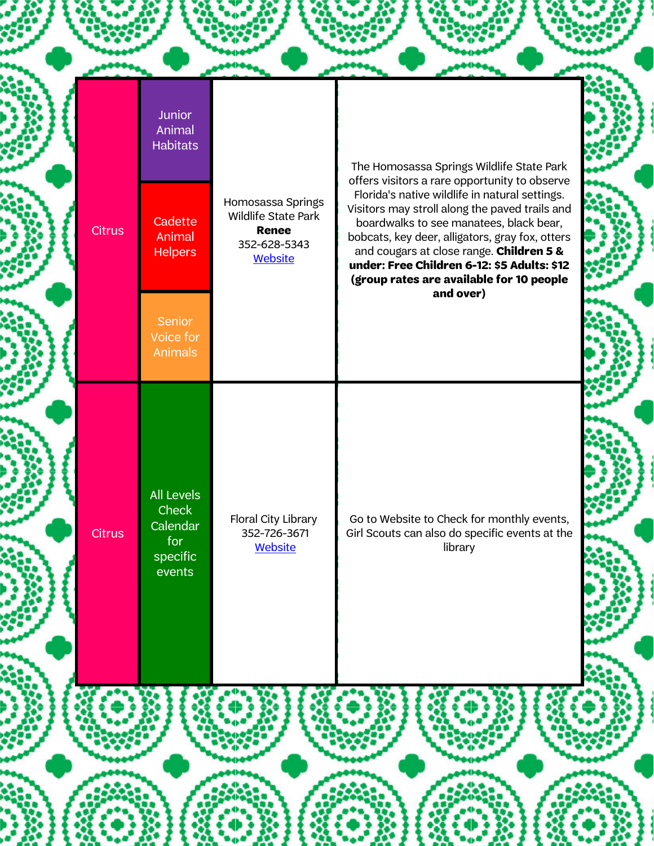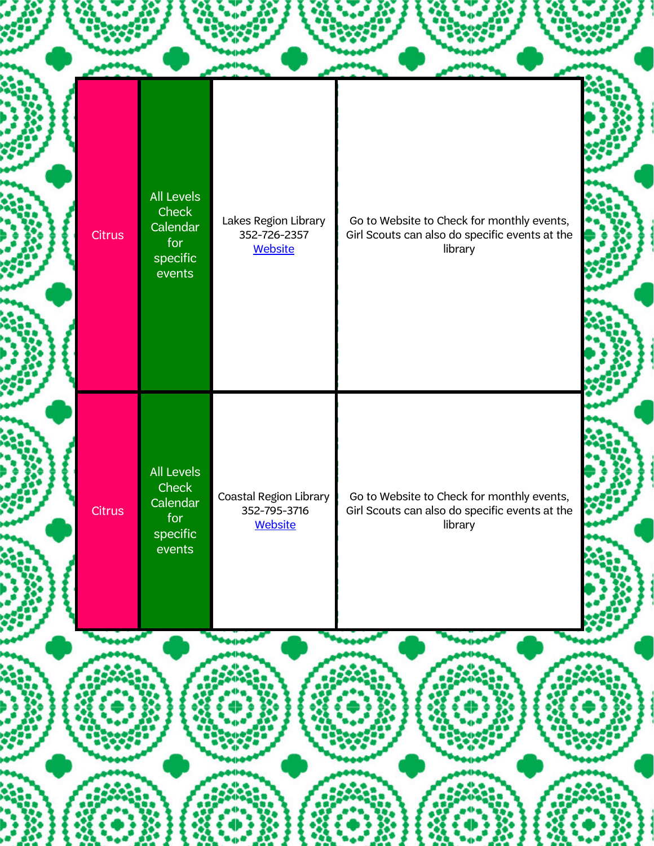![](_page_6_Figure_0.jpeg)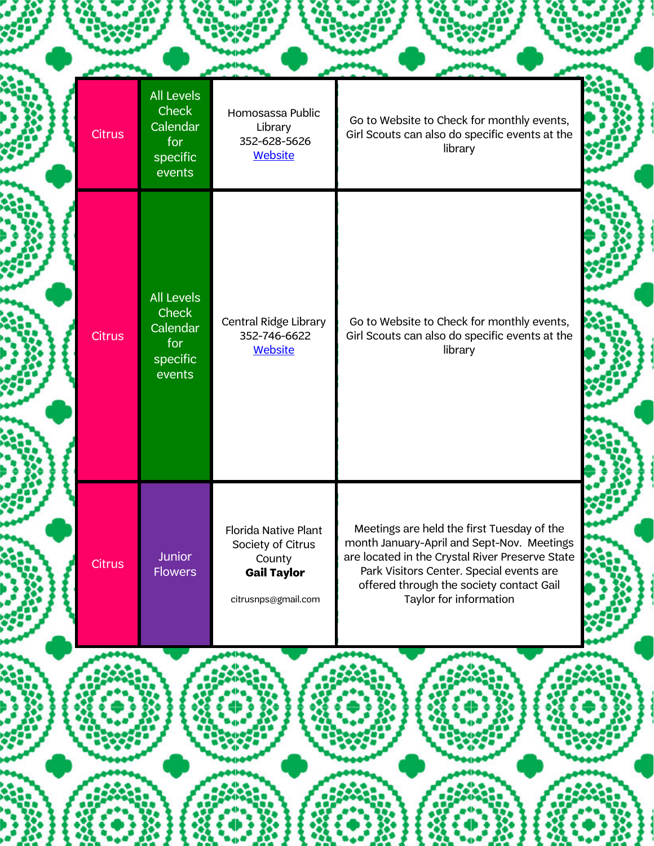| <b>Citrus</b> | <b>All Levels</b><br><b>Check</b><br>Calendar<br>for<br>specific<br>events | Homosassa Public<br>Library<br>352-628-5626<br><b>Website</b>                                    | Go to Website to Check for monthly events,<br>Girl Scouts can also do specific events at the<br>library                                                                                                                                                       |
|---------------|----------------------------------------------------------------------------|--------------------------------------------------------------------------------------------------|---------------------------------------------------------------------------------------------------------------------------------------------------------------------------------------------------------------------------------------------------------------|
| <b>Citrus</b> | <b>All Levels</b><br><b>Check</b><br>Calendar<br>for<br>specific<br>events | Central Ridge Library<br>352-746-6622<br><b>Website</b>                                          | Go to Website to Check for monthly events,<br>Girl Scouts can also do specific events at the<br>library                                                                                                                                                       |
| Citrus        | <b>Junior</b><br><b>Flowers</b>                                            | Florida Native Plant<br>Society of Citrus<br>County<br><b>Gail Taylor</b><br>citrusnps@gmail.com | Meetings are held the first Tuesday of the<br>month January-April and Sept-Nov. Meetings<br>are located in the Crystal River Preserve State<br>Park Visitors Center. Special events are<br>offered through the society contact Gail<br>Taylor for information |

88

ł

影響員

**ool** 

t de la

192223

68

■2部員

68.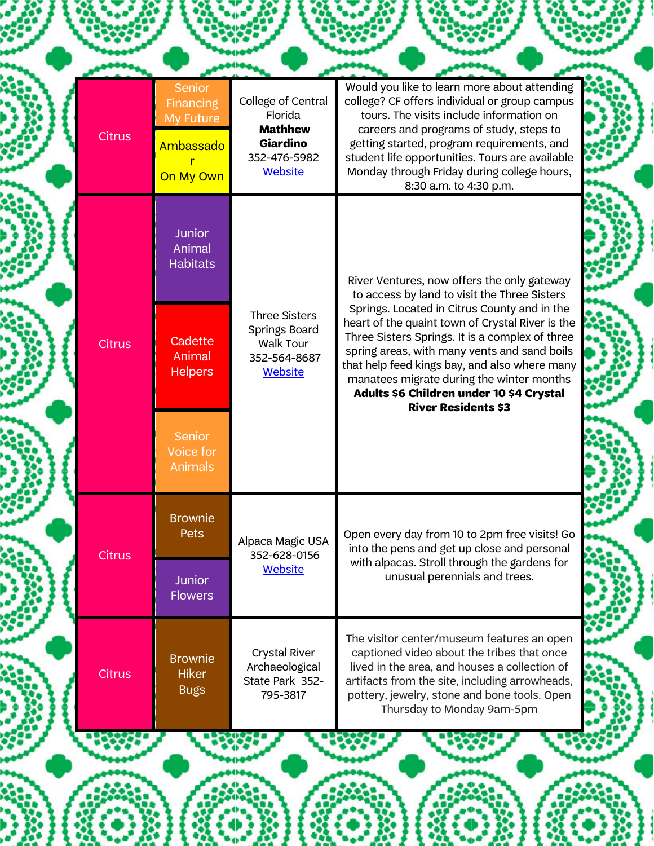| <b>Citrus</b> | <b>Senior</b><br><b>Financing</b><br>My Future<br>Ambassado<br>On My Own | College of Central<br>Florida<br><b>Mathhew</b><br><b>Giardino</b><br>352-476-5982<br><b>Website</b> | Would you like to learn more about attending<br>college? CF offers individual or group campus<br>tours. The visits include information on<br>careers and programs of study, steps to<br>getting started, program requirements, and<br>student life opportunities. Tours are available<br>Monday through Friday during college hours,<br>8:30 a.m. to 4:30 p.m.              |
|---------------|--------------------------------------------------------------------------|------------------------------------------------------------------------------------------------------|-----------------------------------------------------------------------------------------------------------------------------------------------------------------------------------------------------------------------------------------------------------------------------------------------------------------------------------------------------------------------------|
|               | <b>Junior</b><br>Animal<br><b>Habitats</b>                               |                                                                                                      | River Ventures, now offers the only gateway<br>to access by land to visit the Three Sisters                                                                                                                                                                                                                                                                                 |
| <b>Citrus</b> | Cadette<br>Animal<br><b>Helpers</b>                                      | <b>Three Sisters</b><br>Springs Board<br><b>Walk Tour</b><br>352-564-8687<br><b>Website</b>          | Springs. Located in Citrus County and in the<br>heart of the quaint town of Crystal River is the<br>Three Sisters Springs. It is a complex of three<br>spring areas, with many vents and sand boils<br>that help feed kings bay, and also where many<br>manatees migrate during the winter months<br>Adults \$6 Children under 10 \$4 Crystal<br><b>River Residents \$3</b> |
|               | <b>Senior</b><br>Voice for<br><b>Animals</b>                             |                                                                                                      |                                                                                                                                                                                                                                                                                                                                                                             |
| <b>Citrus</b> | <b>Brownie</b><br>Pets                                                   | Alpaca Magic USA<br>352-628-0156                                                                     | Open every day from 10 to 2pm free visits! Go<br>into the pens and get up close and personal                                                                                                                                                                                                                                                                                |
|               | <b>Junior</b><br><b>Flowers</b>                                          | <b>Website</b>                                                                                       | with alpacas. Stroll through the gardens for<br>unusual perennials and trees.                                                                                                                                                                                                                                                                                               |
| <b>Citrus</b> | <b>Brownie</b><br><b>Hiker</b><br><b>Bugs</b>                            | <b>Crystal River</b><br>Archaeological<br>State Park 352-<br>795-3817                                | The visitor center/museum features an open<br>captioned video about the tribes that once<br>lived in the area, and houses a collection of<br>artifacts from the site, including arrowheads,<br>pottery, jewelry, stone and bone tools. Open<br>Thursday to Monday 9am-5pm                                                                                                   |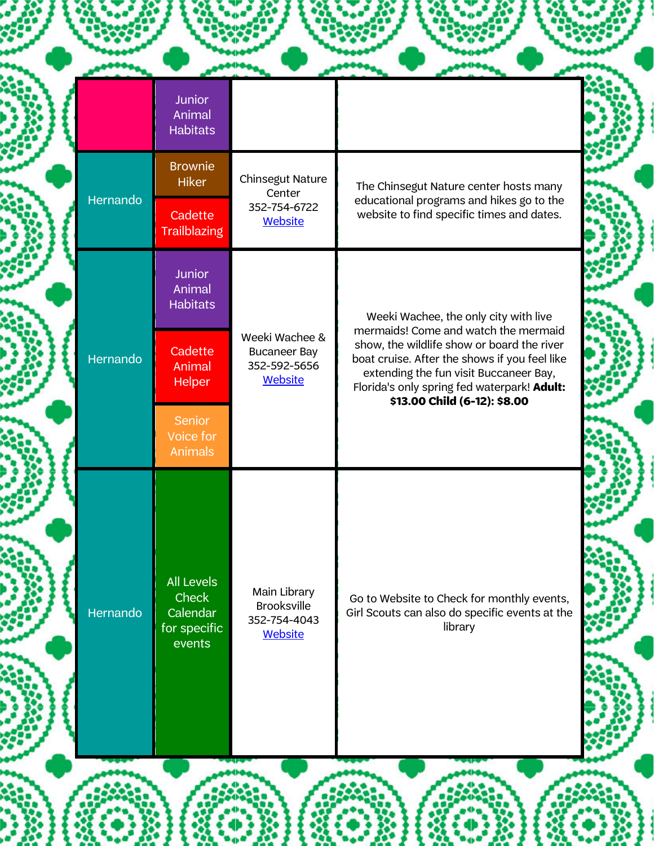|          | <b>Junior</b><br>Animal<br><b>Habitats</b>                       |                                                                         |                                                                                                                                                                                                                                                              |  |
|----------|------------------------------------------------------------------|-------------------------------------------------------------------------|--------------------------------------------------------------------------------------------------------------------------------------------------------------------------------------------------------------------------------------------------------------|--|
|          | <b>Brownie</b><br><b>Hiker</b>                                   | Chinsegut Nature<br>Center                                              | The Chinsegut Nature center hosts many                                                                                                                                                                                                                       |  |
| Hernando | Cadette<br><b>Trailblazing</b>                                   | 352-754-6722<br><b>Website</b>                                          | educational programs and hikes go to the<br>website to find specific times and dates.                                                                                                                                                                        |  |
|          | <b>Junior</b><br>Animal<br><b>Habitats</b>                       |                                                                         | Weeki Wachee, the only city with live                                                                                                                                                                                                                        |  |
| Hernando | Cadette<br>Animal<br><b>Helper</b>                               | Weeki Wachee &<br><b>Bucaneer Bay</b><br>352-592-5656<br><b>Website</b> | mermaids! Come and watch the mermaid<br>show, the wildlife show or board the river<br>boat cruise. After the shows if you feel like<br>extending the fun visit Buccaneer Bay,<br>Florida's only spring fed waterpark! Adult:<br>\$13.00 Child (6-12): \$8.00 |  |
|          | Senior<br>Voice for<br><b>Animals</b>                            |                                                                         |                                                                                                                                                                                                                                                              |  |
| Hernando | <b>All Levels</b><br>Check<br>Calendar<br>for specific<br>events | Main Library<br><b>Brooksville</b><br>352-754-4043<br><b>Website</b>    | Go to Website to Check for monthly events,<br>Girl Scouts can also do specific events at the<br>library                                                                                                                                                      |  |
|          |                                                                  |                                                                         |                                                                                                                                                                                                                                                              |  |

م ماه (

 $\bullet$ 

 $\bullet$   $\bullet$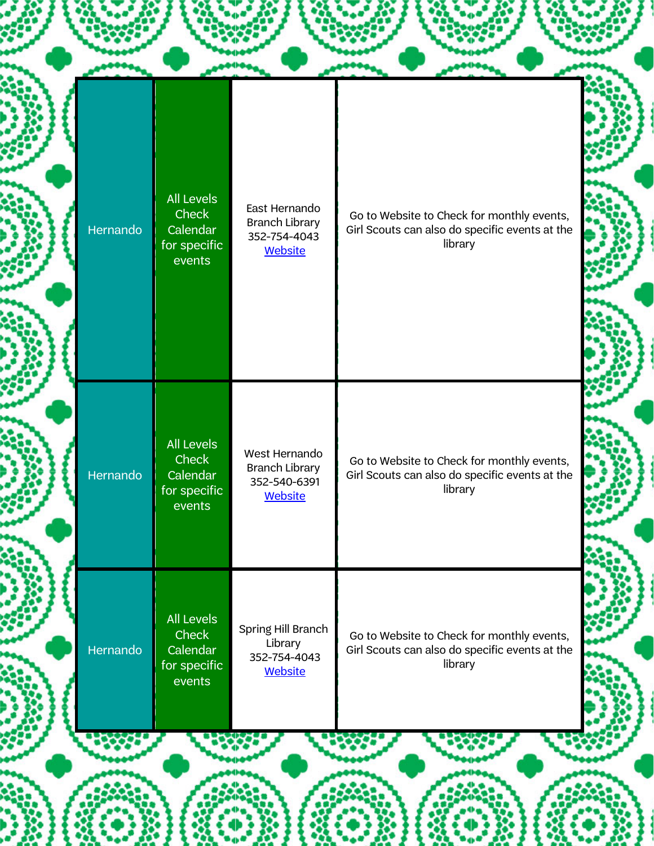| Hernando | <b>All Levels</b><br>Check<br>Calendar<br>for specific<br>events        | East Hernando<br><b>Branch Library</b><br>352-754-4043<br><b>Website</b> | Go to Website to Check for monthly events,<br>Girl Scouts can also do specific events at the<br>library |
|----------|-------------------------------------------------------------------------|--------------------------------------------------------------------------|---------------------------------------------------------------------------------------------------------|
| Hernando | <b>All Levels</b><br>Check<br>Calendar<br>for specific<br>events        | West Hernando<br><b>Branch Library</b><br>352-540-6391<br><b>Website</b> | Go to Website to Check for monthly events,<br>Girl Scouts can also do specific events at the<br>library |
| Hernando | <b>All Levels</b><br><b>Check</b><br>Calendar<br>for specific<br>events | Spring Hill Branch<br>Library<br>352-754-4043<br>Website                 | Go to Website to Check for monthly events,<br>Girl Scouts can also do specific events at the<br>library |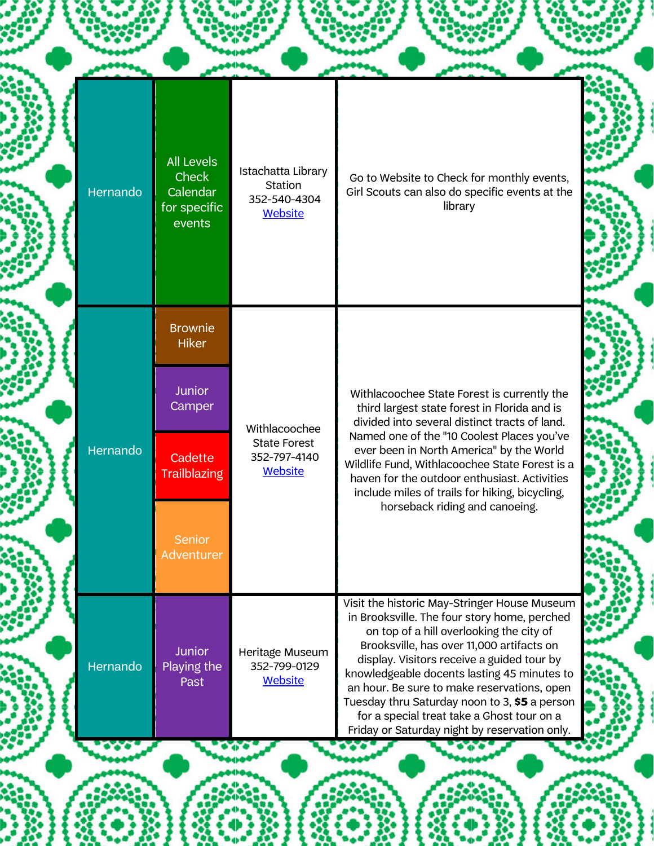|  | Hernando | <b>All Levels</b><br><b>Check</b><br>Calendar<br>for specific<br>events | Istachatta Library<br><b>Station</b><br>352-540-4304<br>Website | Go to Website to Check for monthly events,<br>Girl Scouts can also do specific events at the<br>library                                                                                                                                                                                                                                                                                                                                                                           |
|--|----------|-------------------------------------------------------------------------|-----------------------------------------------------------------|-----------------------------------------------------------------------------------------------------------------------------------------------------------------------------------------------------------------------------------------------------------------------------------------------------------------------------------------------------------------------------------------------------------------------------------------------------------------------------------|
|  |          | <b>Brownie</b><br><b>Hiker</b>                                          |                                                                 |                                                                                                                                                                                                                                                                                                                                                                                                                                                                                   |
|  | Hernando | <b>Junior</b><br>Camper                                                 | Withlacoochee<br><b>State Forest</b><br>352-797-4140<br>Website | Withlacoochee State Forest is currently the<br>third largest state forest in Florida and is<br>divided into several distinct tracts of land.                                                                                                                                                                                                                                                                                                                                      |
|  |          | Cadette<br><b>Trailblazing</b>                                          |                                                                 | Named one of the "10 Coolest Places you've<br>ever been in North America" by the World<br>Wildlife Fund, Withlacoochee State Forest is a<br>haven for the outdoor enthusiast. Activities<br>include miles of trails for hiking, bicycling,                                                                                                                                                                                                                                        |
|  |          | Senior<br>Adventurer                                                    |                                                                 | horseback riding and canoeing.                                                                                                                                                                                                                                                                                                                                                                                                                                                    |
|  | Hernando | <b>Junior</b><br>Playing the<br>Past                                    | Heritage Museum<br>352-799-0129<br>Website                      | Visit the historic May-Stringer House Museum<br>in Brooksville. The four story home, perched<br>on top of a hill overlooking the city of<br>Brooksville, has over 11,000 artifacts on<br>display. Visitors receive a guided tour by<br>knowledgeable docents lasting 45 minutes to<br>an hour. Be sure to make reservations, open<br>Tuesday thru Saturday noon to 3, \$5 a person<br>for a special treat take a Ghost tour on a<br>Friday or Saturday night by reservation only. |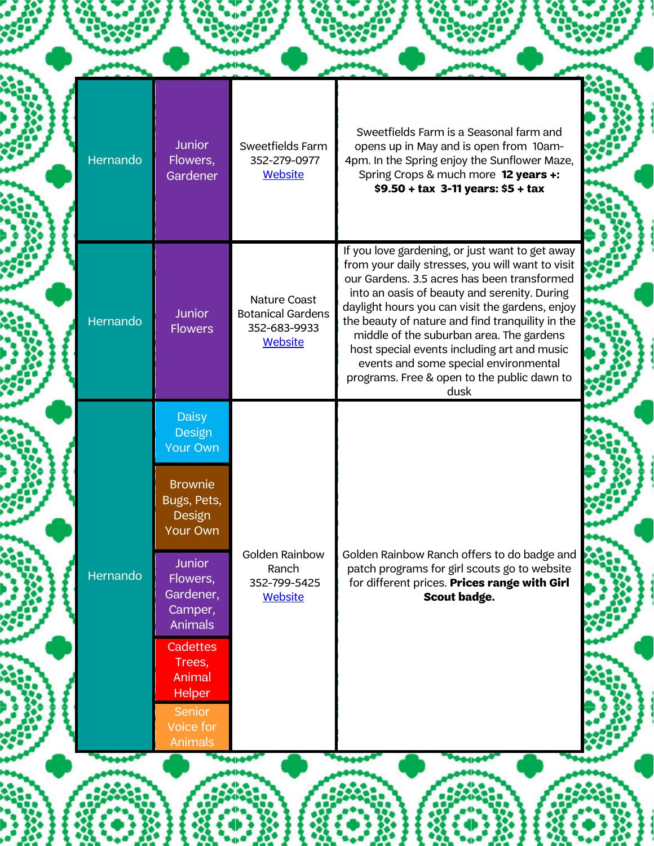| Hernando | <b>Junior</b><br>Flowers,<br>Gardener                                                                                                                                                                                                                         | Sweetfields Farm<br>352-279-0977<br><b>Website</b>                  | Sweetfields Farm is a Seasonal farm and<br>opens up in May and is open from 10am-<br>4pm. In the Spring enjoy the Sunflower Maze,<br>Spring Crops & much more 12 years +:<br>\$9.50 + tax 3-11 years: \$5 + tax                                                                                                                                                                                                                                                                                      |
|----------|---------------------------------------------------------------------------------------------------------------------------------------------------------------------------------------------------------------------------------------------------------------|---------------------------------------------------------------------|------------------------------------------------------------------------------------------------------------------------------------------------------------------------------------------------------------------------------------------------------------------------------------------------------------------------------------------------------------------------------------------------------------------------------------------------------------------------------------------------------|
| Hernando | <b>Junior</b><br><b>Flowers</b>                                                                                                                                                                                                                               | Nature Coast<br><b>Botanical Gardens</b><br>352-683-9933<br>Website | If you love gardening, or just want to get away<br>from your daily stresses, you will want to visit<br>our Gardens. 3.5 acres has been transformed<br>into an oasis of beauty and serenity. During<br>daylight hours you can visit the gardens, enjoy<br>the beauty of nature and find tranquility in the<br>middle of the suburban area. The gardens<br>host special events including art and music<br>events and some special environmental<br>programs. Free & open to the public dawn to<br>dusk |
| Hernando | <b>Daisy</b><br>Design<br><b>Your Own</b><br><b>Brownie</b><br>Bugs, Pets,<br>Design<br><b>Your Own</b><br><b>Junior</b><br>Flowers,<br>Gardener,<br>Camper,<br><b>Animals</b><br>Cadettes<br>Trees,<br>Animal<br><b>Helper</b><br><b>Senior</b><br>Voice for | Golden Rainbow<br>Ranch<br>352-799-5425<br><b>Website</b>           | Golden Rainbow Ranch offers to do badge and<br>patch programs for girl scouts go to website<br>for different prices. Prices range with Girl<br>Scout badge.                                                                                                                                                                                                                                                                                                                                          |

ON)

藻

 $0.325$ 

 $\blacklozenge$ ł